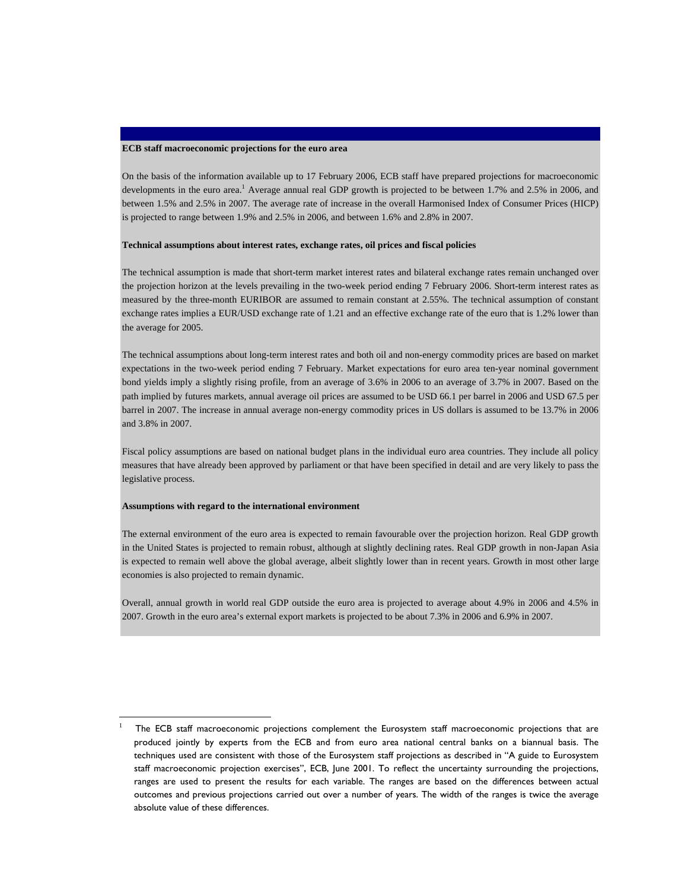### **ECB staff macroeconomic projections for the euro area**

On the basis of the information available up to 17 February 2006, ECB staff have prepared projections for macroeconomic developments in the euro area.<sup>1</sup> Average annual real GDP growth is projected to be between 1.7% and 2.5% in 2006, and between 1.5% and 2.5% in 2007. The average rate of increase in the overall Harmonised Index of Consumer Prices (HICP) is projected to range between 1.9% and 2.5% in 2006, and between 1.6% and 2.8% in 2007.

### **Technical assumptions about interest rates, exchange rates, oil prices and fiscal policies**

The technical assumption is made that short-term market interest rates and bilateral exchange rates remain unchanged over the projection horizon at the levels prevailing in the two-week period ending 7 February 2006. Short-term interest rates as measured by the three-month EURIBOR are assumed to remain constant at 2.55%. The technical assumption of constant exchange rates implies a EUR/USD exchange rate of 1.21 and an effective exchange rate of the euro that is 1.2% lower than the average for 2005.

The technical assumptions about long-term interest rates and both oil and non-energy commodity prices are based on market expectations in the two-week period ending 7 February. Market expectations for euro area ten-year nominal government bond yields imply a slightly rising profile, from an average of 3.6% in 2006 to an average of 3.7% in 2007. Based on the path implied by futures markets, annual average oil prices are assumed to be USD 66.1 per barrel in 2006 and USD 67.5 per barrel in 2007. The increase in annual average non-energy commodity prices in US dollars is assumed to be 13.7% in 2006 and 3.8% in 2007.

Fiscal policy assumptions are based on national budget plans in the individual euro area countries. They include all policy measures that have already been approved by parliament or that have been specified in detail and are very likely to pass the legislative process.

#### **Assumptions with regard to the international environment**

l

The external environment of the euro area is expected to remain favourable over the projection horizon. Real GDP growth in the United States is projected to remain robust, although at slightly declining rates. Real GDP growth in non-Japan Asia is expected to remain well above the global average, albeit slightly lower than in recent years. Growth in most other large economies is also projected to remain dynamic.

Overall, annual growth in world real GDP outside the euro area is projected to average about 4.9% in 2006 and 4.5% in 2007. Growth in the euro area's external export markets is projected to be about 7.3% in 2006 and 6.9% in 2007.

<sup>1</sup> The ECB staff macroeconomic projections complement the Eurosystem staff macroeconomic projections that are produced jointly by experts from the ECB and from euro area national central banks on a biannual basis. The techniques used are consistent with those of the Eurosystem staff projections as described in "A guide to Eurosystem staff macroeconomic projection exercises", ECB, June 2001. To reflect the uncertainty surrounding the projections, ranges are used to present the results for each variable. The ranges are based on the differences between actual outcomes and previous projections carried out over a number of years. The width of the ranges is twice the average absolute value of these differences.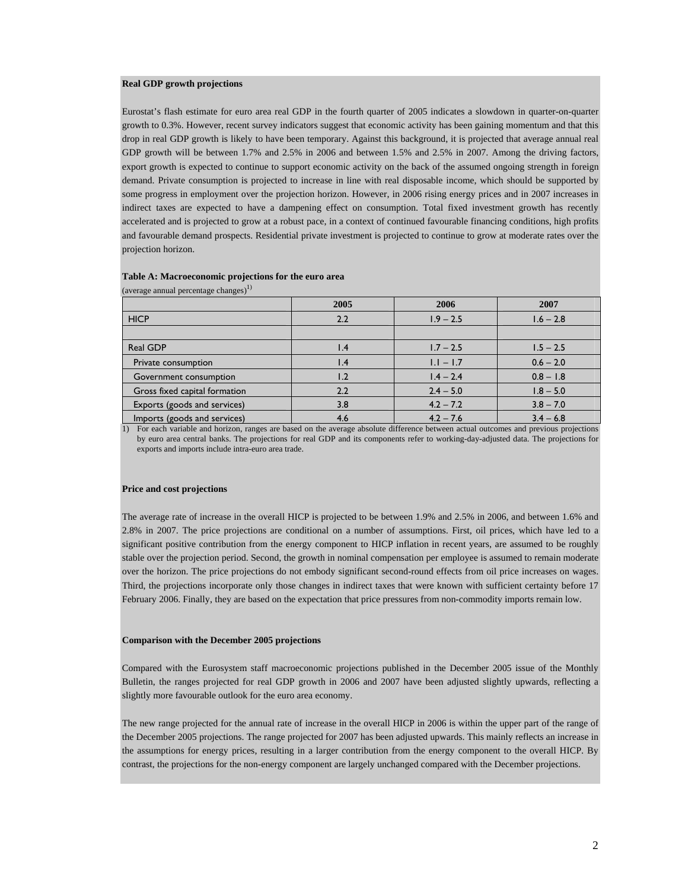### **Real GDP growth projections**

Eurostat's flash estimate for euro area real GDP in the fourth quarter of 2005 indicates a slowdown in quarter-on-quarter growth to 0.3%. However, recent survey indicators suggest that economic activity has been gaining momentum and that this drop in real GDP growth is likely to have been temporary. Against this background, it is projected that average annual real GDP growth will be between 1.7% and 2.5% in 2006 and between 1.5% and 2.5% in 2007. Among the driving factors, export growth is expected to continue to support economic activity on the back of the assumed ongoing strength in foreign demand. Private consumption is projected to increase in line with real disposable income, which should be supported by some progress in employment over the projection horizon. However, in 2006 rising energy prices and in 2007 increases in indirect taxes are expected to have a dampening effect on consumption. Total fixed investment growth has recently accelerated and is projected to grow at a robust pace, in a context of continued favourable financing conditions, high profits and favourable demand prospects. Residential private investment is projected to continue to grow at moderate rates over the projection horizon.

| (average annual percentage changes) |                 |             |             |  |
|-------------------------------------|-----------------|-------------|-------------|--|
|                                     | 2005            | 2006        | 2007        |  |
| <b>HICP</b>                         | 2.2             | $1.9 - 2.5$ | $1.6 - 2.8$ |  |
|                                     |                 |             |             |  |
| Real GDP                            | $\mathsf{I}$ .4 | $1.7 - 2.5$ | $1.5 - 2.5$ |  |
| Private consumption                 | $\mathsf{I}$ .4 | $1.1 - 1.7$ | $0.6 - 2.0$ |  |
| Government consumption              | l.2             | $1.4 - 2.4$ | $0.8 - 1.8$ |  |
| Gross fixed capital formation       | 2.2             | $2.4 - 5.0$ | $1.8 - 5.0$ |  |
| Exports (goods and services)        | 3.8             | $4.2 - 7.2$ | $3.8 - 7.0$ |  |
| Imports (goods and services)        | 4.6             | $4.2 - 7.6$ | $3.4 - 6.8$ |  |

## **Table A: Macroeconomic projections for the euro area**

(average annual percentage changes) $^{1)}$ 

1) For each variable and horizon, ranges are based on the average absolute difference between actual outcomes and previous projections by euro area central banks. The projections for real GDP and its components refer to working-day-adjusted data. The projections for exports and imports include intra-euro area trade.

### **Price and cost projections**

The average rate of increase in the overall HICP is projected to be between 1.9% and 2.5% in 2006, and between 1.6% and 2.8% in 2007. The price projections are conditional on a number of assumptions. First, oil prices, which have led to a significant positive contribution from the energy component to HICP inflation in recent years, are assumed to be roughly stable over the projection period. Second, the growth in nominal compensation per employee is assumed to remain moderate over the horizon. The price projections do not embody significant second-round effects from oil price increases on wages. Third, the projections incorporate only those changes in indirect taxes that were known with sufficient certainty before 17 February 2006. Finally, they are based on the expectation that price pressures from non-commodity imports remain low.

### **Comparison with the December 2005 projections**

Compared with the Eurosystem staff macroeconomic projections published in the December 2005 issue of the Monthly Bulletin, the ranges projected for real GDP growth in 2006 and 2007 have been adjusted slightly upwards, reflecting a slightly more favourable outlook for the euro area economy.

The new range projected for the annual rate of increase in the overall HICP in 2006 is within the upper part of the range of the December 2005 projections. The range projected for 2007 has been adjusted upwards. This mainly reflects an increase in the assumptions for energy prices, resulting in a larger contribution from the energy component to the overall HICP. By contrast, the projections for the non-energy component are largely unchanged compared with the December projections.